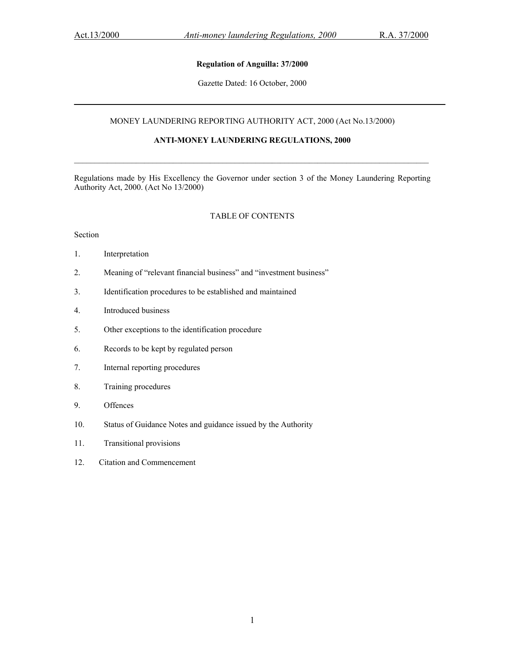## **Regulation of Anguilla: 37/2000**

Gazette Dated: 16 October, 2000

## MONEY LAUNDERING REPORTING AUTHORITY ACT, 2000 (Act No.13/2000)

## **ANTI-MONEY LAUNDERING REGULATIONS, 2000**

Regulations made by His Excellency the Governor under section 3 of the Money Laundering Reporting Authority Act, 2000. (Act No 13/2000)

### TABLE OF CONTENTS

## Section

- 1. Interpretation
- 2. Meaning of "relevant financial business" and "investment business"
- 3. Identification procedures to be established and maintained
- 4. Introduced business
- 5. Other exceptions to the identification procedure
- 6. Records to be kept by regulated person
- 7. Internal reporting procedures
- 8. Training procedures
- 9. Offences
- 10. Status of Guidance Notes and guidance issued by the Authority
- 11. Transitional provisions
- 12. Citation and Commencement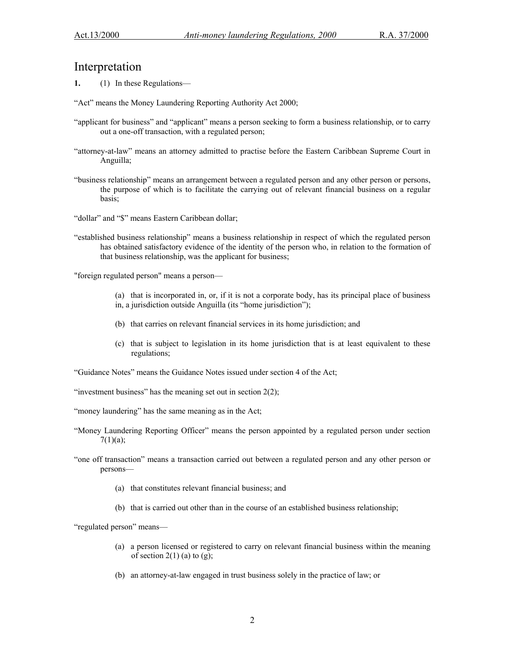# Interpretation

**1.** (1) In these Regulations—

"Act" means the Money Laundering Reporting Authority Act 2000;

- "applicant for business" and "applicant" means a person seeking to form a business relationship, or to carry out a one-off transaction, with a regulated person;
- "attorney-at-law" means an attorney admitted to practise before the Eastern Caribbean Supreme Court in Anguilla;
- "business relationship" means an arrangement between a regulated person and any other person or persons, the purpose of which is to facilitate the carrying out of relevant financial business on a regular basis;

"dollar" and "\$" means Eastern Caribbean dollar;

"established business relationship" means a business relationship in respect of which the regulated person has obtained satisfactory evidence of the identity of the person who, in relation to the formation of that business relationship, was the applicant for business;

"foreign regulated person" means a person—

- (a) that is incorporated in, or, if it is not a corporate body, has its principal place of business in, a jurisdiction outside Anguilla (its "home jurisdiction");
- (b) that carries on relevant financial services in its home jurisdiction; and
- (c) that is subject to legislation in its home jurisdiction that is at least equivalent to these regulations;

"Guidance Notes" means the Guidance Notes issued under section 4 of the Act;

"investment business" has the meaning set out in section  $2(2)$ ;

- "money laundering" has the same meaning as in the Act;
- "Money Laundering Reporting Officer" means the person appointed by a regulated person under section  $7(1)(a);$
- "one off transaction" means a transaction carried out between a regulated person and any other person or persons—
	- (a) that constitutes relevant financial business; and
	- (b) that is carried out other than in the course of an established business relationship;

"regulated person" means—

- (a) a person licensed or registered to carry on relevant financial business within the meaning of section  $2(1)$  (a) to (g);
- (b) an attorney-at-law engaged in trust business solely in the practice of law; or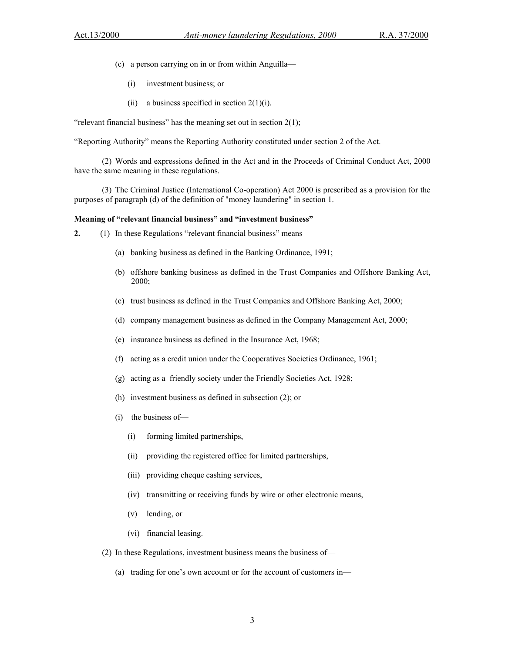- (c) a person carrying on in or from within Anguilla—
	- (i) investment business; or
	- (ii) a business specified in section  $2(1)(i)$ .

"relevant financial business" has the meaning set out in section  $2(1)$ ;

"Reporting Authority" means the Reporting Authority constituted under section 2 of the Act.

(2) Words and expressions defined in the Act and in the Proceeds of Criminal Conduct Act, 2000 have the same meaning in these regulations.

(3) The Criminal Justice (International Co-operation) Act 2000 is prescribed as a provision for the purposes of paragraph (d) of the definition of "money laundering" in section 1.

#### **Meaning of "relevant financial business" and "investment business"**

- **2.** (1) In these Regulations "relevant financial business" means—
	- (a) banking business as defined in the Banking Ordinance, 1991;
	- (b) offshore banking business as defined in the Trust Companies and Offshore Banking Act, 2000;
	- (c) trust business as defined in the Trust Companies and Offshore Banking Act, 2000;
	- (d) company management business as defined in the Company Management Act, 2000;
	- (e) insurance business as defined in the Insurance Act, 1968;
	- (f) acting as a credit union under the Cooperatives Societies Ordinance, 1961;
	- (g) acting as a friendly society under the Friendly Societies Act, 1928;
	- (h) investment business as defined in subsection (2); or
	- (i) the business of—
		- (i) forming limited partnerships,
		- (ii) providing the registered office for limited partnerships,
		- (iii) providing cheque cashing services,
		- (iv) transmitting or receiving funds by wire or other electronic means,
		- (v) lending, or
		- (vi) financial leasing.
	- (2) In these Regulations, investment business means the business of—
		- (a) trading for one's own account or for the account of customers in—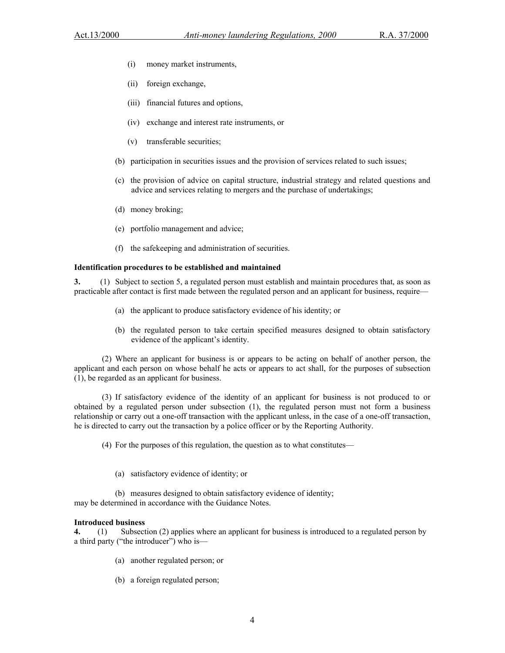- (i) money market instruments,
- (ii) foreign exchange,
- (iii) financial futures and options,
- (iv) exchange and interest rate instruments, or
- (v) transferable securities;
- (b) participation in securities issues and the provision of services related to such issues;
- (c) the provision of advice on capital structure, industrial strategy and related questions and advice and services relating to mergers and the purchase of undertakings;
- (d) money broking;
- (e) portfolio management and advice;
- (f) the safekeeping and administration of securities.

### **Identification procedures to be established and maintained**

**3.** (1) Subject to section 5, a regulated person must establish and maintain procedures that, as soon as practicable after contact is first made between the regulated person and an applicant for business, require—

- (a) the applicant to produce satisfactory evidence of his identity; or
- (b) the regulated person to take certain specified measures designed to obtain satisfactory evidence of the applicant's identity.

(2) Where an applicant for business is or appears to be acting on behalf of another person, the applicant and each person on whose behalf he acts or appears to act shall, for the purposes of subsection (1), be regarded as an applicant for business.

(3) If satisfactory evidence of the identity of an applicant for business is not produced to or obtained by a regulated person under subsection (1), the regulated person must not form a business relationship or carry out a one-off transaction with the applicant unless, in the case of a one-off transaction, he is directed to carry out the transaction by a police officer or by the Reporting Authority.

(4) For the purposes of this regulation, the question as to what constitutes—

(a) satisfactory evidence of identity; or

(b) measures designed to obtain satisfactory evidence of identity; may be determined in accordance with the Guidance Notes.

### **Introduced business**

**4.** (1) Subsection (2) applies where an applicant for business is introduced to a regulated person by a third party ("the introducer") who is—

- (a) another regulated person; or
- (b) a foreign regulated person;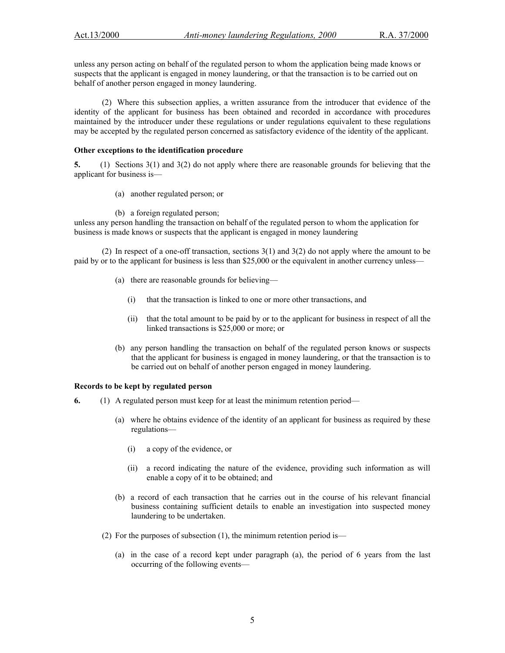unless any person acting on behalf of the regulated person to whom the application being made knows or suspects that the applicant is engaged in money laundering, or that the transaction is to be carried out on behalf of another person engaged in money laundering.

(2) Where this subsection applies, a written assurance from the introducer that evidence of the identity of the applicant for business has been obtained and recorded in accordance with procedures maintained by the introducer under these regulations or under regulations equivalent to these regulations may be accepted by the regulated person concerned as satisfactory evidence of the identity of the applicant.

## **Other exceptions to the identification procedure**

**5.** (1) Sections 3(1) and 3(2) do not apply where there are reasonable grounds for believing that the applicant for business is—

- (a) another regulated person; or
- (b) a foreign regulated person;

unless any person handling the transaction on behalf of the regulated person to whom the application for business is made knows or suspects that the applicant is engaged in money laundering

(2) In respect of a one-off transaction, sections 3(1) and 3(2) do not apply where the amount to be paid by or to the applicant for business is less than \$25,000 or the equivalent in another currency unless—

- (a) there are reasonable grounds for believing—
	- (i) that the transaction is linked to one or more other transactions, and
	- (ii) that the total amount to be paid by or to the applicant for business in respect of all the linked transactions is \$25,000 or more; or
- (b) any person handling the transaction on behalf of the regulated person knows or suspects that the applicant for business is engaged in money laundering, or that the transaction is to be carried out on behalf of another person engaged in money laundering.

## **Records to be kept by regulated person**

- **6.** (1) A regulated person must keep for at least the minimum retention period—
	- (a) where he obtains evidence of the identity of an applicant for business as required by these regulations—
		- (i) a copy of the evidence, or
		- (ii) a record indicating the nature of the evidence, providing such information as will enable a copy of it to be obtained; and
	- (b) a record of each transaction that he carries out in the course of his relevant financial business containing sufficient details to enable an investigation into suspected money laundering to be undertaken.
	- (2) For the purposes of subsection (1), the minimum retention period is—
		- (a) in the case of a record kept under paragraph (a), the period of 6 years from the last occurring of the following events—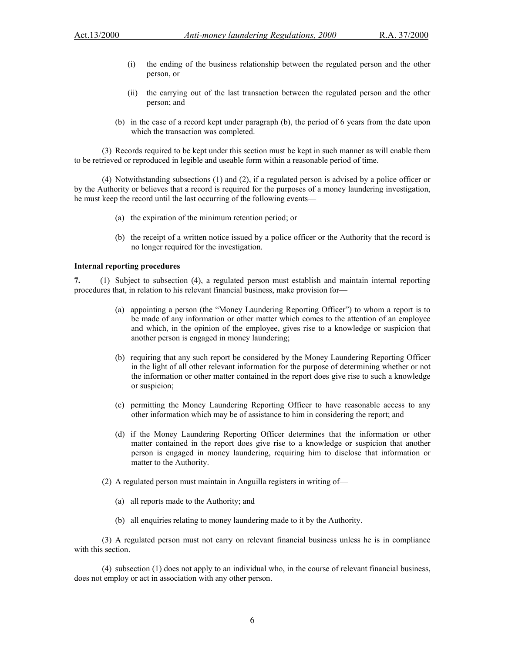- (i) the ending of the business relationship between the regulated person and the other person, or
- (ii) the carrying out of the last transaction between the regulated person and the other person; and
- (b) in the case of a record kept under paragraph (b), the period of 6 years from the date upon which the transaction was completed.

(3) Records required to be kept under this section must be kept in such manner as will enable them to be retrieved or reproduced in legible and useable form within a reasonable period of time.

(4) Notwithstanding subsections (1) and (2), if a regulated person is advised by a police officer or by the Authority or believes that a record is required for the purposes of a money laundering investigation, he must keep the record until the last occurring of the following events—

- (a) the expiration of the minimum retention period; or
- (b) the receipt of a written notice issued by a police officer or the Authority that the record is no longer required for the investigation.

#### **Internal reporting procedures**

**7.** (1) Subject to subsection (4), a regulated person must establish and maintain internal reporting procedures that, in relation to his relevant financial business, make provision for—

- (a) appointing a person (the "Money Laundering Reporting Officer") to whom a report is to be made of any information or other matter which comes to the attention of an employee and which, in the opinion of the employee, gives rise to a knowledge or suspicion that another person is engaged in money laundering;
- (b) requiring that any such report be considered by the Money Laundering Reporting Officer in the light of all other relevant information for the purpose of determining whether or not the information or other matter contained in the report does give rise to such a knowledge or suspicion;
- (c) permitting the Money Laundering Reporting Officer to have reasonable access to any other information which may be of assistance to him in considering the report; and
- (d) if the Money Laundering Reporting Officer determines that the information or other matter contained in the report does give rise to a knowledge or suspicion that another person is engaged in money laundering, requiring him to disclose that information or matter to the Authority.
- (2) A regulated person must maintain in Anguilla registers in writing of—
	- (a) all reports made to the Authority; and
	- (b) all enquiries relating to money laundering made to it by the Authority.

(3) A regulated person must not carry on relevant financial business unless he is in compliance with this section.

(4) subsection (1) does not apply to an individual who, in the course of relevant financial business, does not employ or act in association with any other person.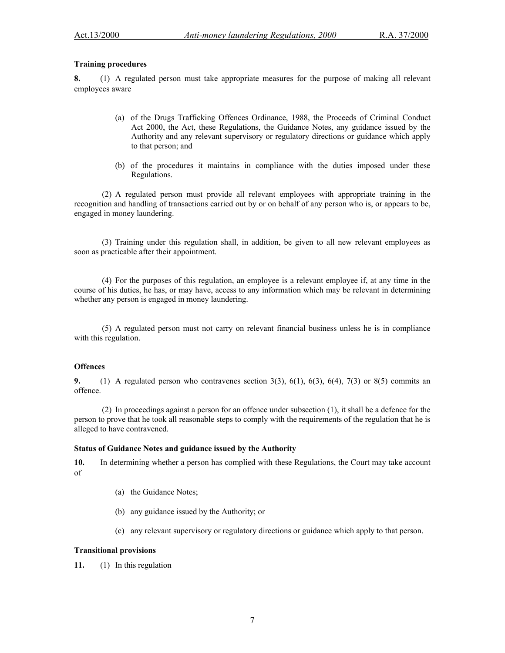## **Training procedures**

**8.** (1) A regulated person must take appropriate measures for the purpose of making all relevant employees aware

- (a) of the Drugs Trafficking Offences Ordinance, 1988, the Proceeds of Criminal Conduct Act 2000, the Act, these Regulations, the Guidance Notes, any guidance issued by the Authority and any relevant supervisory or regulatory directions or guidance which apply to that person; and
- (b) of the procedures it maintains in compliance with the duties imposed under these Regulations.

(2) A regulated person must provide all relevant employees with appropriate training in the recognition and handling of transactions carried out by or on behalf of any person who is, or appears to be, engaged in money laundering.

(3) Training under this regulation shall, in addition, be given to all new relevant employees as soon as practicable after their appointment.

(4) For the purposes of this regulation, an employee is a relevant employee if, at any time in the course of his duties, he has, or may have, access to any information which may be relevant in determining whether any person is engaged in money laundering.

(5) A regulated person must not carry on relevant financial business unless he is in compliance with this regulation.

#### **Offences**

**9.** (1) A regulated person who contravenes section 3(3), 6(1), 6(3), 6(4), 7(3) or 8(5) commits an offence.

(2) In proceedings against a person for an offence under subsection (1), it shall be a defence for the person to prove that he took all reasonable steps to comply with the requirements of the regulation that he is alleged to have contravened.

## **Status of Guidance Notes and guidance issued by the Authority**

**10.** In determining whether a person has complied with these Regulations, the Court may take account of

- (a) the Guidance Notes;
- (b) any guidance issued by the Authority; or
- (c) any relevant supervisory or regulatory directions or guidance which apply to that person.

### **Transitional provisions**

**11.** (1) In this regulation